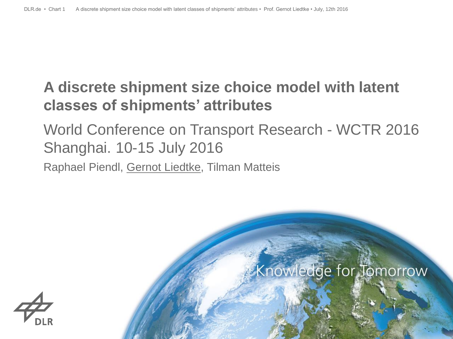# **A discrete shipment size choice model with latent classes of shipments' attributes**

# World Conference on Transport Research - WCTR 2016 Shanghai. 10-15 July 2016

Raphael Piendl, Gernot Liedtke, Tilman Matteis

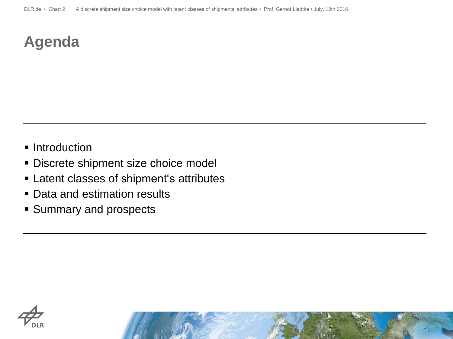# **Agenda**

- Introduction
- **Discrete shipment size choice model**
- **Example 1** Latent classes of shipment's attributes
- Data and estimation results
- **Summary and prospects**

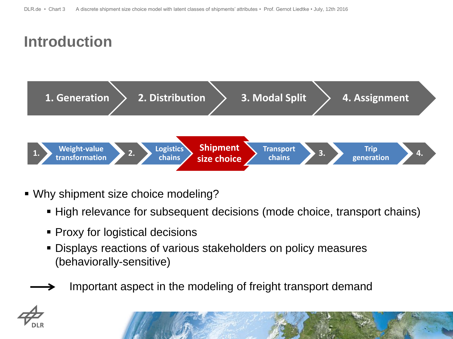# **Introduction**



- Why shipment size choice modeling?
	- High relevance for subsequent decisions (mode choice, transport chains)
	- Proxy for logistical decisions
	- Displays reactions of various stakeholders on policy measures (behaviorally-sensitive)
	- Important aspect in the modeling of freight transport demand

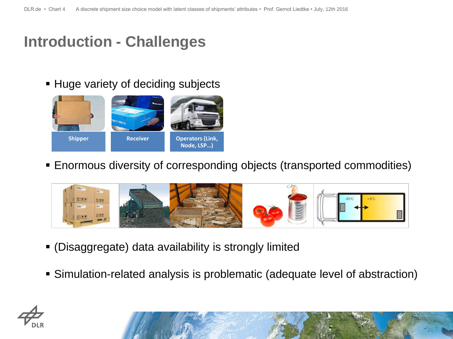#### **Introduction - Challenges**

**Huge variety of deciding subjects** 



Enormous diversity of corresponding objects (transported commodities)



- (Disaggregate) data availability is strongly limited
- Simulation-related analysis is problematic (adequate level of abstraction)



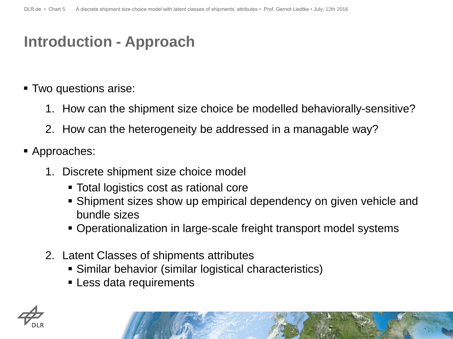### **Introduction - Approach**

- Two questions arise:
	- 1. How can the shipment size choice be modelled behaviorally-sensitive?
	- 2. How can the heterogeneity be addressed in a managable way?
- Approaches:
	- 1. Discrete shipment size choice model
		- Total logistics cost as rational core
		- Shipment sizes show up empirical dependency on given vehicle and bundle sizes
		- Operationalization in large-scale freight transport model systems
	- 2. Latent Classes of shipments attributes
		- Similar behavior (similar logistical characteristics)
		- **Example 1 Less data requirements**

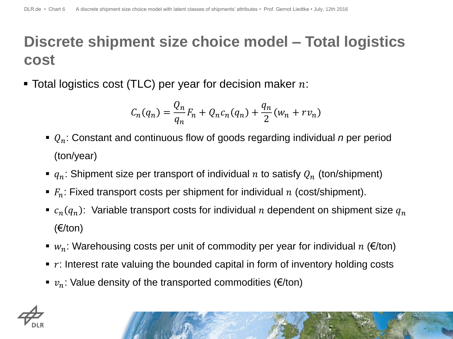# **Discrete shipment size choice model – Total logistics cost**

 $\blacksquare$  Total logistics cost (TLC) per year for decision maker  $n$ :

$$
C_n(q_n) = \frac{Q_n}{q_n} F_n + Q_n c_n(q_n) + \frac{q_n}{2} (w_n + r v_n)
$$

- : Constant and continuous flow of goods regarding individual *n* per period (ton/year)
- $q_n$ : Shipment size per transport of individual *n* to satisfy  $Q_n$  (ton/shipment)
- $\blacksquare$   $F_n$ : Fixed transport costs per shipment for individual n (cost/shipment).
- $\bullet$   $c_n(q_n)$ : Variable transport costs for individual *n* dependent on shipment size  $q_n$ (€/ton)
- $w_n$ : Warehousing costs per unit of commodity per year for individual  $n \in \mathbb{Z}$  (fon)
- $\blacksquare$  r: Interest rate valuing the bounded capital in form of inventory holding costs
- $v_n$ : Value density of the transported commodities ( $\varepsilon$ /ton)



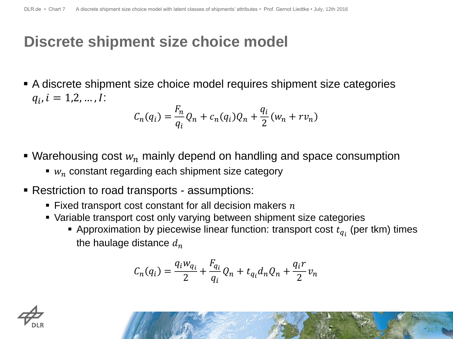#### **Discrete shipment size choice model**

 A discrete shipment size choice model requires shipment size categories  $q_i$ ,  $i = 1, 2, ..., I$ :

$$
C_n(q_i) = \frac{F_n}{q_i} Q_n + c_n(q_i) Q_n + \frac{q_i}{2} (w_n + r v_n)
$$

- Warehousing cost  $w_n$  mainly depend on handling and space consumption
	- $w_n$  constant regarding each shipment size category
- Restriction to road transports assumptions:
	- Fixed transport cost constant for all decision makers  $n$
	- Variable transport cost only varying between shipment size categories
		- **•** Approximation by piecewise linear function: transport cost  $t_{q_i}$  (per tkm) times the haulage distance  $d_n$

$$
C_n(q_i) = \frac{q_i w_{q_i}}{2} + \frac{F_{q_i}}{q_i} Q_n + t_{q_i} d_n Q_n + \frac{q_i r}{2} v_n
$$

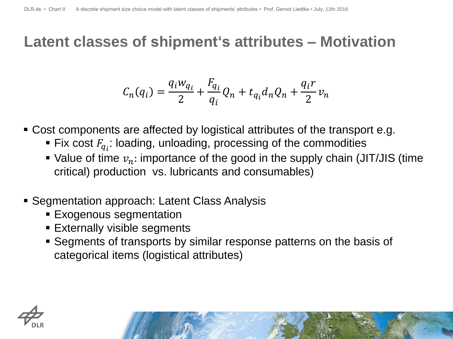#### **Latent classes of shipment's attributes – Motivation**

$$
C_n(q_i) = \frac{q_i w_{q_i}}{2} + \frac{F_{q_i}}{q_i} Q_n + t_{q_i} d_n Q_n + \frac{q_i r}{2} v_n
$$

- Cost components are affected by logistical attributes of the transport e.g.
	- Fix cost  $F_{q_i}$ : loading, unloading, processing of the commodities
	- Value of time  $v_n$ : importance of the good in the supply chain (JIT/JIS (time critical) production vs. lubricants and consumables)
- Segmentation approach: Latent Class Analysis
	- **Exogenous segmentation**
	- **Externally visible segments**
	- Segments of transports by similar response patterns on the basis of categorical items (logistical attributes)

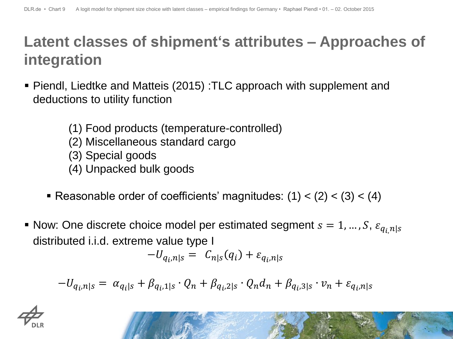# **Latent classes of shipment's attributes – Approaches of integration**

- Piendl, Liedtke and Matteis (2015) :TLC approach with supplement and deductions to utility function
	- (1) Food products (temperature-controlled)
	- (2) Miscellaneous standard cargo
	- (3) Special goods
	- (4) Unpacked bulk goods
	- Reasonable order of coefficients' magnitudes:  $(1) < (2) < (3) < (4)$
- Now: One discrete choice model per estimated segment  $s = 1, ..., S$ ,  $\varepsilon_{q_i, n | s_j}$ distributed i.i.d. extreme value type I

$$
-U_{q_i,n|s} = C_{n|s}(q_i) + \varepsilon_{q_i,n|s}
$$

$$
-U_{q_i,n|s} = \alpha_{q_i|s} + \beta_{q_i,1|s} \cdot Q_n + \beta_{q_i,2|s} \cdot Q_n d_n + \beta_{q_i,3|s} \cdot v_n + \varepsilon_{q_i,n|s}
$$

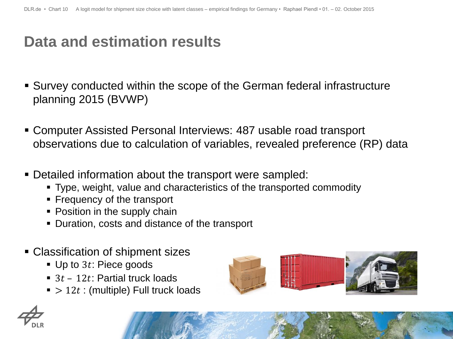## **Data and estimation results**

- Survey conducted within the scope of the German federal infrastructure planning 2015 (BVWP)
- Computer Assisted Personal Interviews: 487 usable road transport observations due to calculation of variables, revealed preference (RP) data
- Detailed information about the transport were sampled:
	- Type, weight, value and characteristics of the transported commodity
	- **Figure 1** Frequency of the transport
	- Position in the supply chain
	- Duration, costs and distance of the transport
- Classification of shipment sizes
	- $\blacksquare$  Up to 3t: Piece goods
	- $\blacksquare$  3t 12t: Partial truck loads
	- $\bullet$  > 12t : (multiple) Full truck loads



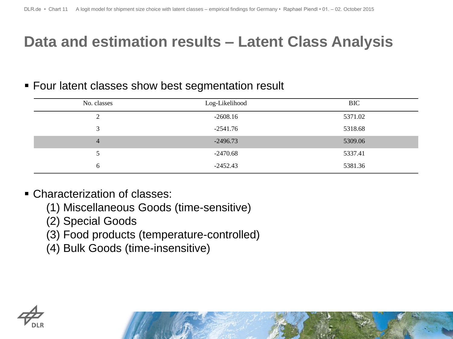## **Data and estimation results – Latent Class Analysis**

#### **Four latent classes show best segmentation result**

| No. classes    | Log-Likelihood | <b>BIC</b> |  |
|----------------|----------------|------------|--|
| 2              | $-2608.16$     | 5371.02    |  |
| 3              | $-2541.76$     | 5318.68    |  |
| $\overline{4}$ | $-2496.73$     | 5309.06    |  |
| 5              | $-2470.68$     | 5337.41    |  |
| 6              | $-2452.43$     | 5381.36    |  |

- Characterization of classes:
	- (1) Miscellaneous Goods (time-sensitive)
	- (2) Special Goods
	- (3) Food products (temperature-controlled)
	- (4) Bulk Goods (time-insensitive)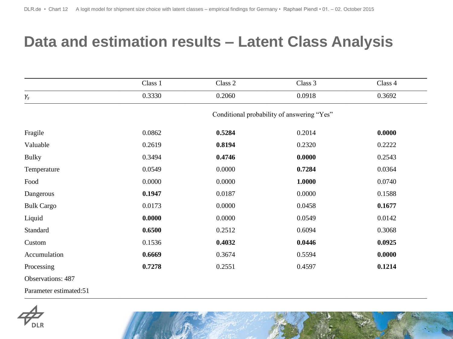#### **Data and estimation results – Latent Class Analysis**

|                   | Class 1                                    | Class 2 | Class 3 | Class 4 |  |  |
|-------------------|--------------------------------------------|---------|---------|---------|--|--|
| $\gamma_s$        | 0.3330                                     | 0.2060  | 0.0918  | 0.3692  |  |  |
|                   | Conditional probability of answering "Yes" |         |         |         |  |  |
| Fragile           | 0.0862                                     | 0.5284  | 0.2014  | 0.0000  |  |  |
| Valuable          | 0.2619                                     | 0.8194  | 0.2320  | 0.2222  |  |  |
| <b>Bulky</b>      | 0.3494                                     | 0.4746  | 0.0000  | 0.2543  |  |  |
| Temperature       | 0.0549                                     | 0.0000  | 0.7284  | 0.0364  |  |  |
| Food              | 0.0000                                     | 0.0000  | 1.0000  | 0.0740  |  |  |
| Dangerous         | 0.1947                                     | 0.0187  | 0.0000  | 0.1588  |  |  |
| <b>Bulk Cargo</b> | 0.0173                                     | 0.0000  | 0.0458  | 0.1677  |  |  |
| Liquid            | 0.0000                                     | 0.0000  | 0.0549  | 0.0142  |  |  |
| Standard          | 0.6500                                     | 0.2512  | 0.6094  | 0.3068  |  |  |
| Custom            | 0.1536                                     | 0.4032  | 0.0446  | 0.0925  |  |  |
| Accumulation      | 0.6669                                     | 0.3674  | 0.5594  | 0.0000  |  |  |
| Processing        | 0.7278                                     | 0.2551  | 0.4597  | 0.1214  |  |  |
| Observations: 487 |                                            |         |         |         |  |  |

Parameter estimated:51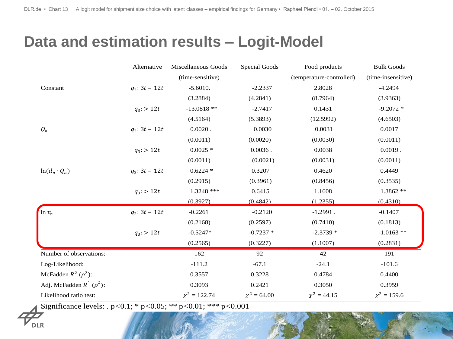#### **Data and estimation results – Logit-Model**

|                                                         | Alternative      | Miscellaneous Goods | <b>Special Goods</b> | Food products            | <b>Bulk Goods</b>  |
|---------------------------------------------------------|------------------|---------------------|----------------------|--------------------------|--------------------|
|                                                         |                  | (time-sensitive)    |                      | (temperature-controlled) | (time-insensitive) |
| Constant                                                | $q_2$ : 3t - 12t | $-5.6010.$          | $-2.2337$            | 2.8028                   | $-4.2494$          |
|                                                         |                  | (3.2884)            | (4.2841)             | (8.7964)                 | (3.9363)           |
|                                                         | $q_3$ : > 12t    | $-13.0818**$        | $-2.7417$            | 0.1431                   | $-9.2072*$         |
|                                                         |                  | (4.5164)            | (5.3893)             | (12.5992)                | (4.6503)           |
| $Q_n$                                                   | $q_2$ : 3t - 12t | $0.0020$ .          | 0.0030               | 0.0031                   | 0.0017             |
|                                                         |                  | (0.0011)            | (0.0020)             | (0.0030)                 | (0.0011)           |
|                                                         | $q_3$ : > 12t    | $0.0025$ *          | $0.0036$ .           | 0.0038                   | $0.0019$ .         |
|                                                         |                  | (0.0011)            | (0.0021)             | (0.0031)                 | (0.0011)           |
| $ln(d_n \cdot Q_n)$                                     | $q_2$ : 3t - 12t | $0.6224$ *          | 0.3207               | 0.4620                   | 0.4449             |
|                                                         |                  | (0.2915)            | (0.3961)             | (0.8456)                 | (0.3535)           |
|                                                         | $q_3$ : > 12t    | 1.3248 ***          | 0.6415               | 1.1608                   | $1.3862**$         |
|                                                         |                  | (0.3927)            | (0.4842)             | (1.2355)                 | (0.4310)           |
| $\ln v_n$                                               | $q_2$ : 3t - 12t | $-0.2261$           | $-0.2120$            | $-1.2991$ .              | $-0.1407$          |
|                                                         |                  | (0.2168)            | (0.2597)             | (0.7410)                 | (0.1813)           |
|                                                         | $q_3$ : > 12t    | $-0.5247*$          | $-0.7237$ *          | $-2.3739*$               | $-1.0163$ **       |
|                                                         |                  | (0.2565)            | (0.3227)             | (1.1007)                 | (0.2831)           |
| Number of observations:                                 |                  | 162                 | 92                   | 42                       | 191                |
| Log-Likelihood:                                         |                  | $-111.2$            | $-67.1$              | $-24.1$                  | $-101.6$           |
| McFadden $R^2$ ( $\rho^2$ ):                            |                  | 0.3557              | 0.3228               | 0.4784                   | 0.4400             |
| Adj. McFadden $\overline{R}^2$ ( $\overline{\rho}^2$ ): |                  | 0.3093              | 0.2421               | 0.3050                   | 0.3959             |
| Likelihood ratio test:                                  |                  | $\chi^2 = 122.74$   | $\chi^2 = 64.00$     | $\chi^2 = 44.15$         | $\chi^2 = 159.6$   |

Significance levels: . p*<*0.1; \* p*<*0.05; \*\* p*<*0.01; \*\*\* p*<*0.001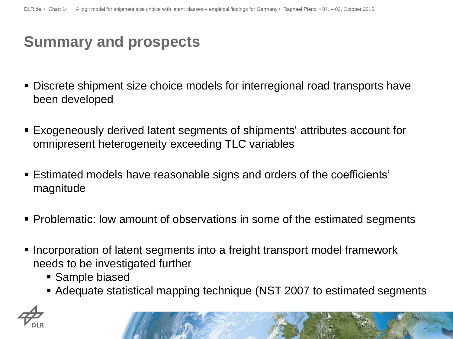## **Summary and prospects**

- Discrete shipment size choice models for interregional road transports have been developed
- Exogeneously derived latent segments of shipments' attributes account for omnipresent heterogeneity exceeding TLC variables
- Estimated models have reasonable signs and orders of the coefficients' magnitude
- **Problematic: low amount of observations in some of the estimated segments**
- **Incorporation of latent segments into a freight transport model framework** needs to be investigated further
	- Sample biased
	- Adequate statistical mapping technique (NST 2007 to estimated segments